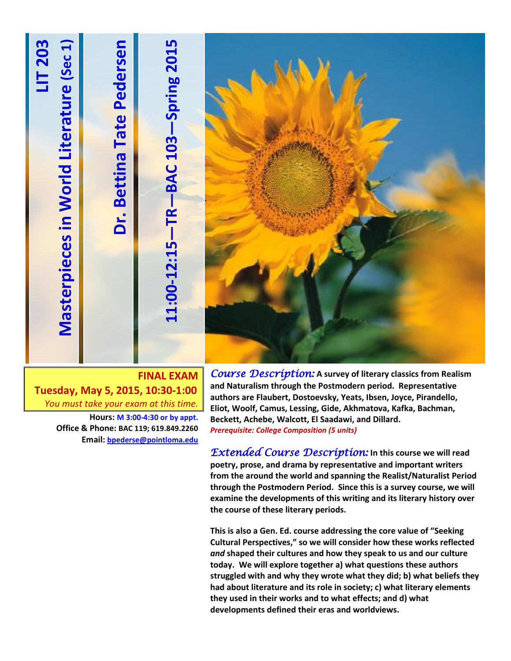

 **Tuesday, May 5, 2015, 10:30-1:00** *You must take your exam at this time.*

> **Hours: M 3:00-4:30 or by appt. Office & Phone: BAC 119; 619.849.2260 Email: [bpederse@pointloma.edu](mailto:bpederse@pointloma.edu)**

**and Naturalism through the Postmodern period. Representative authors are Flaubert, Dostoevsky, Yeats, Ibsen, Joyce, Pirandello, Eliot, Woolf, Camus, Lessing, Gide, Akhmatova, Kafka, Bachman, Beckett, Achebe, Walcott, El Saadawi, and Dillard.** *Prerequisite: College Composition (5 units)*

*Extended Course Description:* **In this course we will read poetry, prose, and drama by representative and important writers from the around the world and spanning the Realist/Naturalist Period through the Postmodern Period. Since this is a survey course, we will examine the developments of this writing and its literary history over the course of these literary periods.** 

**This is also a Gen. Ed. course addressing the core value of "Seeking Cultural Perspectives," so we will consider how these works reflected**  *and* **shaped their cultures and how they speak to us and our culture today. We will explore together a) what questions these authors struggled with and why they wrote what they did; b) what beliefs they had about literature and its role in society; c) what literary elements they used in their works and to what effects; and d) what developments defined their eras and worldviews.**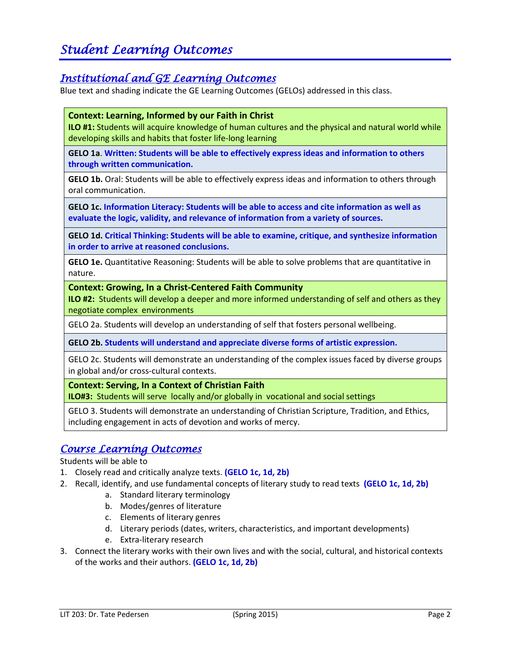### *Student Learning Outcomes*

### *Institutional and GE Learning Outcomes*

Blue text and shading indicate the GE Learning Outcomes (GELOs) addressed in this class.

#### **Context: Learning, Informed by our Faith in Christ**

**ILO #1:** Students will acquire knowledge of human cultures and the physical and natural world while developing skills and habits that foster life-long learning

**GELO 1a**. **Written: Students will be able to effectively express ideas and information to others through written communication.**

**GELO 1b.** Oral: Students will be able to effectively express ideas and information to others through oral communication.

**GELO 1c. Information Literacy: Students will be able to access and cite information as well as evaluate the logic, validity, and relevance of information from a variety of sources.**

**GELO 1d. Critical Thinking: Students will be able to examine, critique, and synthesize information in order to arrive at reasoned conclusions.**

**GELO 1e.** Quantitative Reasoning: Students will be able to solve problems that are quantitative in nature.

#### **Context: Growing, In a Christ-Centered Faith Community**

**ILO #2:** Students will develop a deeper and more informed understanding of self and others as they negotiate complex environments

GELO 2a. Students will develop an understanding of self that fosters personal wellbeing.

**GELO 2b. Students will understand and appreciate diverse forms of artistic expression.** 

GELO 2c. Students will demonstrate an understanding of the complex issues faced by diverse groups in global and/or cross-cultural contexts.

**Context: Serving, In a Context of Christian Faith**

**ILO#3:** Students will serve locally and/or globally in vocational and social settings

GELO 3. Students will demonstrate an understanding of Christian Scripture, Tradition, and Ethics, including engagement in acts of devotion and works of mercy.

#### *Course Learning Outcomes*

Students will be able to

- 1. Closely read and critically analyze texts. **(GELO 1c, 1d, 2b)**
- 2. Recall, identify, and use fundamental concepts of literary study to read texts **(GELO 1c, 1d, 2b)**
	- a. Standard literary terminology
	- b. Modes/genres of literature
	- c. Elements of literary genres
	- d. Literary periods (dates, writers, characteristics, and important developments)
	- e. Extra-literary research
- 3. Connect the literary works with their own lives and with the social, cultural, and historical contexts of the works and their authors. **(GELO 1c, 1d, 2b)**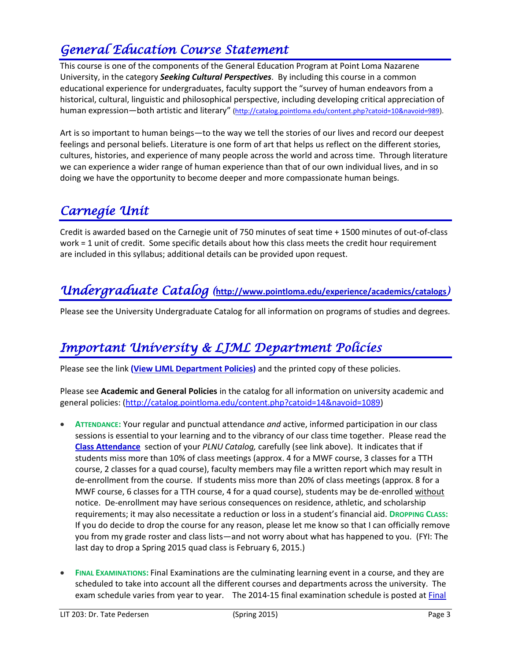## *General Education Course Statement*

This course is one of the components of the General Education Program at Point Loma Nazarene University, in the category *Seeking Cultural Perspectives*. By including this course in a common educational experience for undergraduates, faculty support the "survey of human endeavors from a historical, cultural, linguistic and philosophical perspective, including developing critical appreciation of human expression—both artistic and literary" [\(http://catalog.pointloma.edu/content.php?catoid=10&navoid=989\)](http://catalog.pointloma.edu/content.php?catoid=10&navoid=989).

Art is so important to human beings—to the way we tell the stories of our lives and record our deepest feelings and personal beliefs. Literature is one form of art that helps us reflect on the different stories, cultures, histories, and experience of many people across the world and across time. Through literature we can experience a wider range of human experience than that of our own individual lives, and in so doing we have the opportunity to become deeper and more compassionate human beings.

# *Carnegie Unit*

Credit is awarded based on the Carnegie unit of 750 minutes of seat time + 1500 minutes of out-of-class work = 1 unit of credit. Some specific details about how this class meets the credit hour requirement are included in this syllabus; additional details can be provided upon request.

## *Undergraduate Catalog (***<http://www.pointloma.edu/experience/academics/catalogs>***)*

Please see the University Undergraduate Catalog for all information on programs of studies and degrees.

## *Important University & LJML Department Policies*

Please see the link **(View LJML [Department](http://www.pointloma.edu/sites/default/files/filemanager/Literature_Journalism__Modern_Languages/LJML_Department_Syllabus_Statments_final_1.docx) Policies)** and the printed copy of these policies.

Please see **Academic and General Policies** in the catalog for all information on university academic and general policies: [\(http://catalog.pointloma.edu/content.php?catoid=14&navoid=1089\)](http://catalog.pointloma.edu/content.php?catoid=14&navoid=1089)

- **ATTENDANCE:** Your regular and punctual attendance *and* active, informed participation in our class sessions is essential to your learning and to the vibrancy of our class time together. Please read the **[Class Attendance](http://catalog.pointloma.edu/content.php?catoid=14&navoid=1089#Class_Attendance)** section of your *PLNU Catalog,* carefully (see link above). It indicates that if students miss more than 10% of class meetings (approx. 4 for a MWF course, 3 classes for a TTH course, 2 classes for a quad course), faculty members may file a written report which may result in de-enrollment from the course. If students miss more than 20% of class meetings (approx. 8 for a MWF course, 6 classes for a TTH course, 4 for a quad course), students may be de-enrolled without notice. De-enrollment may have serious consequences on residence, athletic, and scholarship requirements; it may also necessitate a reduction or loss in a student's financial aid. **DROPPING CLASS:** If you do decide to drop the course for any reason, please let me know so that I can officially remove you from my grade roster and class lists—and not worry about what has happened to you. (FYI: The last day to drop a Spring 2015 quad class is February 6, 2015.)
- **FINAL EXAMINATIONS:** Final Examinations are the culminating learning event in a course, and they are scheduled to take into account all the different courses and departments across the university. The exam schedule varies from year to year. The 2014-15 final examination schedule is posted at [Final](http://www.pointloma.edu/sites/default/files/filemanager/Academic_Affairs/Calendars/Final_Exam_Schedule_2014-2015.pdf)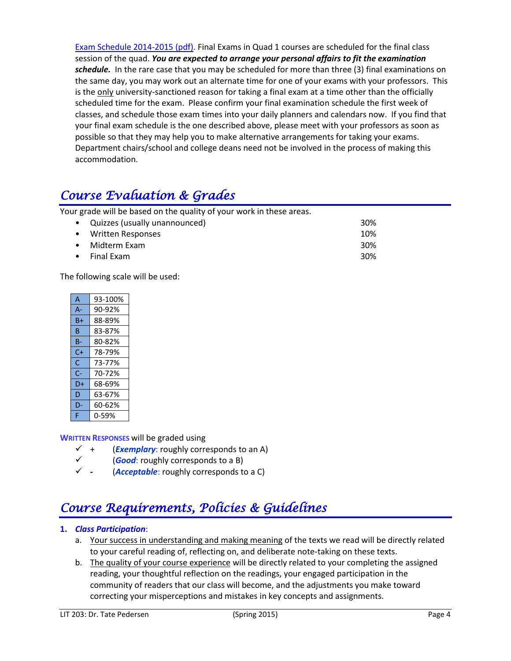Exam Schedule [2014-2015](http://www.pointloma.edu/sites/default/files/filemanager/Academic_Affairs/Calendars/Final_Exam_Schedule_2014-2015.pdf) (pdf). Final Exams in Quad 1 courses are scheduled for the final class session of the quad. *You are expected to arrange your personal affairs to fit the examination schedule.* In the rare case that you may be scheduled for more than three (3) final examinations on the same day, you may work out an alternate time for one of your exams with your professors. This is the only university-sanctioned reason for taking a final exam at a time other than the officially scheduled time for the exam. Please confirm your final examination schedule the first week of classes, and schedule those exam times into your daily planners and calendars now. If you find that your final exam schedule is the one described above, please meet with your professors as soon as possible so that they may help you to make alternative arrangements for taking your exams. Department chairs/school and college deans need not be involved in the process of making this accommodation.

# *Course Evaluation & Grades*

Your grade will be based on the quality of your work in these areas.

| Quizzes (usually unannounced) | 30% |
|-------------------------------|-----|
| • Written Responses           | 10% |
| • Midterm Exam                | 30% |
| Final Exam                    | 30% |

The following scale will be used:

| A  | 93-100% |
|----|---------|
| А- | 90-92%  |
| B+ | 88-89%  |
| в  | 83-87%  |
| в- | 80-82%  |
| C+ | 78-79%  |
| C  | 73-77%  |
| C- | 70-72%  |
| D+ | 68-69%  |
| D  | 63-67%  |
| D- | 60-62%  |
| F  | 0-59%   |

**WRITTEN RESPONSES** will be graded using

- (*Exemplary*: roughly corresponds to an A)
- (*Good*: roughly corresponds to a B)
- **-** (*Acceptable*: roughly corresponds to a C)

# *Course Requirements, Policies & Guidelines*

#### **1.** *Class Participation*:

- a. Your success in understanding and making meaning of the texts we read will be directly related to your careful reading of, reflecting on, and deliberate note-taking on these texts.
- b. The quality of your course experience will be directly related to your completing the assigned reading, your thoughtful reflection on the readings, your engaged participation in the community of readers that our class will become, and the adjustments you make toward correcting your misperceptions and mistakes in key concepts and assignments.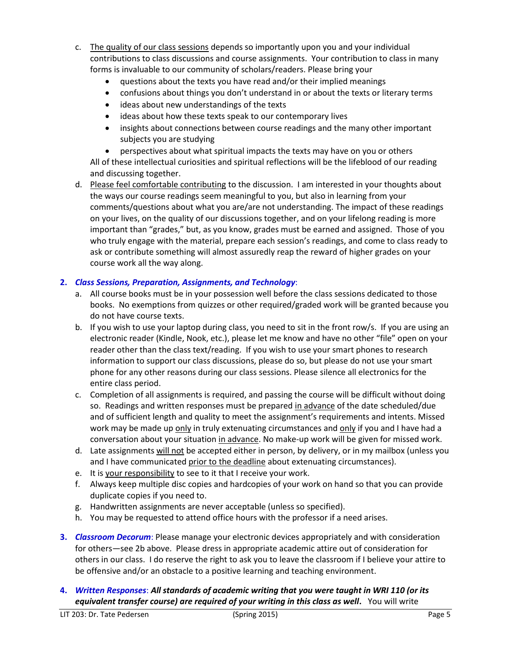- c. The quality of our class sessions depends so importantly upon you and your individual contributions to class discussions and course assignments. Your contribution to class in many forms is invaluable to our community of scholars/readers. Please bring your
	- questions about the texts you have read and/or their implied meanings
	- confusions about things you don't understand in or about the texts or literary terms
	- ideas about new understandings of the texts
	- ideas about how these texts speak to our contemporary lives
	- insights about connections between course readings and the many other important subjects you are studying

 perspectives about what spiritual impacts the texts may have on you or others All of these intellectual curiosities and spiritual reflections will be the lifeblood of our reading and discussing together.

d. Please feel comfortable contributing to the discussion. I am interested in your thoughts about the ways our course readings seem meaningful to you, but also in learning from your comments/questions about what you are/are not understanding. The impact of these readings on your lives, on the quality of our discussions together, and on your lifelong reading is more important than "grades," but, as you know, grades must be earned and assigned. Those of you who truly engage with the material, prepare each session's readings, and come to class ready to ask or contribute something will almost assuredly reap the reward of higher grades on your course work all the way along.

#### **2.** *Class Sessions, Preparation, Assignments, and Technology*:

- a. All course books must be in your possession well before the class sessions dedicated to those books. No exemptions from quizzes or other required/graded work will be granted because you do not have course texts.
- b. If you wish to use your laptop during class, you need to sit in the front row/s. If you are using an electronic reader (Kindle, Nook, etc.), please let me know and have no other "file" open on your reader other than the class text/reading. If you wish to use your smart phones to research information to support our class discussions, please do so, but please do not use your smart phone for any other reasons during our class sessions. Please silence all electronics for the entire class period.
- c. Completion of all assignments is required, and passing the course will be difficult without doing so. Readings and written responses must be prepared in advance of the date scheduled/due and of sufficient length and quality to meet the assignment's requirements and intents. Missed work may be made up only in truly extenuating circumstances and only if you and I have had a conversation about your situation in advance. No make-up work will be given for missed work.
- d. Late assignments will not be accepted either in person, by delivery, or in my mailbox (unless you and I have communicated prior to the deadline about extenuating circumstances).
- e. It is your responsibility to see to it that I receive your work.
- f. Always keep multiple disc copies and hardcopies of your work on hand so that you can provide duplicate copies if you need to.
- g. Handwritten assignments are never acceptable (unless so specified).
- h. You may be requested to attend office hours with the professor if a need arises.
- **3.** *Classroom Decorum*: Please manage your electronic devices appropriately and with consideration for others—see 2b above. Please dress in appropriate academic attire out of consideration for others in our class. I do reserve the right to ask you to leave the classroom if I believe your attire to be offensive and/or an obstacle to a positive learning and teaching environment.
- **4.** *Written Responses*: *All standards of academic writing that you were taught in WRI 110 (or its equivalent transfer course) are required of your writing in this class as well***.** You will write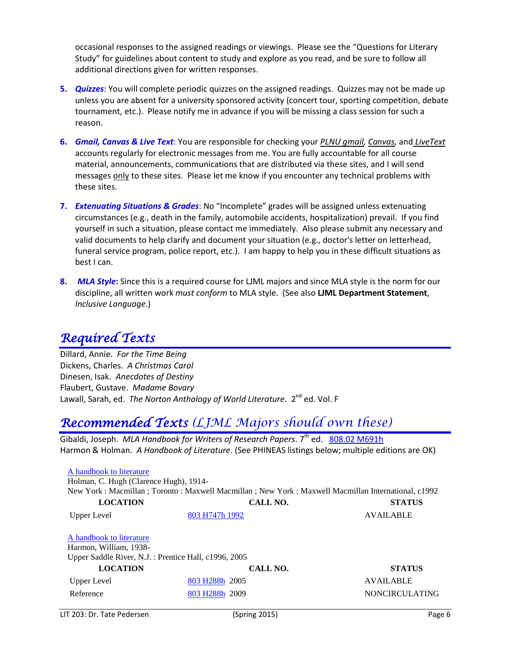occasional responses to the assigned readings or viewings. Please see the "Questions for Literary Study" for guidelines about content to study and explore as you read, and be sure to follow all additional directions given for written responses.

- **5.** *Quizzes*: You will complete periodic quizzes on the assigned readings. Quizzes may not be made up unless you are absent for a university sponsored activity (concert tour, sporting competition, debate tournament, etc.). Please notify me in advance if you will be missing a class session for such a reason.
- **6.** *Gmail, Canvas & Live Text*: You are responsible for checking your *PLNU gmail, Canvas,* and *LiveText*  accounts regularly for electronic messages from me. You are fully accountable for all course material, announcements, communications that are distributed via these sites, and I will send messages only to these sites. Please let me know if you encounter any technical problems with these sites.
- **7.** *Extenuating Situations & Grades*: No "Incomplete" grades will be assigned unless extenuating circumstances (e.g., death in the family, automobile accidents, hospitalization) prevail. If you find yourself in such a situation, please contact me immediately. Also please submit any necessary and valid documents to help clarify and document your situation (e.g., doctor's letter on letterhead, funeral service program, police report, etc.). I am happy to help you in these difficult situations as best I can.
- **8.** *MLA Style***:** Since this is a required course for LJML majors and since MLA style is the norm for our discipline, all written work *must conform* to MLA style. (See also **LJML Department Statement**, *Inclusive Language*.)

## *Required Texts*

Dillard, Annie. *For the Time Being* Dickens, Charles. *A Christmas Carol* Dinesen, Isak. *Anecdotes of Destiny*  Flaubert, Gustave. *Madame Bovary* Lawall, Sarah, ed. *The Norton Anthology of World Literature*. 2<sup>nd</sup> ed. Vol. F

### *Recommended Texts (LJML Majors should own these)*

Gibaldi, Joseph. *MLA Handbook for Writers of Research Papers*. 7<sup>th</sup> ed. [808.02 M691h](http://phineas.pointloma.edu/search~S0?/c808.02+M691h/c808.02+m691h/-3,-1,,E/browse) Harmon & Holman. *A Handbook of Literature*. (See PHINEAS listings below; multiple editions are OK)

| A handbook to literature                                                                                    |                            |                       |  |  |
|-------------------------------------------------------------------------------------------------------------|----------------------------|-----------------------|--|--|
| Holman, C. Hugh (Clarence Hugh), 1914-                                                                      |                            |                       |  |  |
| New York : Macmillan ; Toronto : Maxwell Macmillan ; New York : Maxwell Macmillan International, c1992      |                            |                       |  |  |
| <b>LOCATION</b>                                                                                             | CALL NO.                   | <b>STATUS</b>         |  |  |
| Upper Level                                                                                                 | 803 H747h 1992             | <b>AVAILABLE</b>      |  |  |
| A handbook to literature<br>Harmon, William, 1938-<br>Upper Saddle River, N.J. : Prentice Hall, c1996, 2005 |                            |                       |  |  |
| <b>LOCATION</b>                                                                                             | CALL NO.                   | <b>STATUS</b>         |  |  |
| Upper Level                                                                                                 | 803 H <sub>288h</sub> 2005 | <b>AVAILABLE</b>      |  |  |
| Reference                                                                                                   | 803 H <sub>288h</sub> 2009 | <b>NONCIRCULATING</b> |  |  |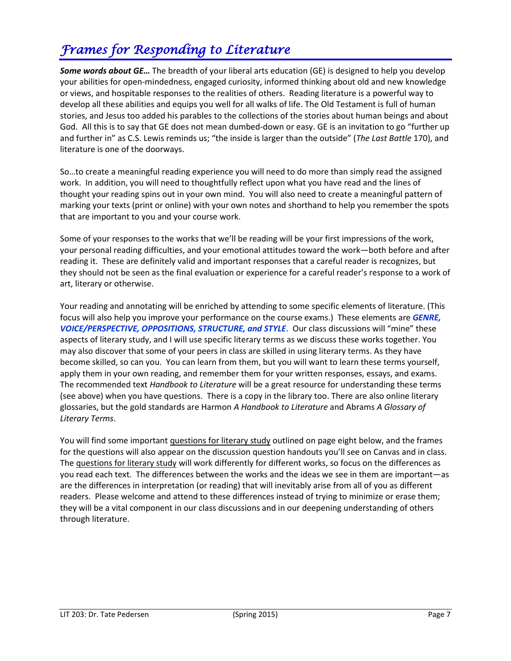# *Frames for Responding to Literature*

*Some words about GE…* The breadth of your liberal arts education (GE) is designed to help you develop your abilities for open-mindedness, engaged curiosity, informed thinking about old and new knowledge or views, and hospitable responses to the realities of others. Reading literature is a powerful way to develop all these abilities and equips you well for all walks of life. The Old Testament is full of human stories, and Jesus too added his parables to the collections of the stories about human beings and about God. All this is to say that GE does not mean dumbed-down or easy. GE is an invitation to go "further up and further in" as C.S. Lewis reminds us; "the inside is larger than the outside" (*The Last Battle* 170), and literature is one of the doorways.

So…to create a meaningful reading experience you will need to do more than simply read the assigned work. In addition, you will need to thoughtfully reflect upon what you have read and the lines of thought your reading spins out in your own mind. You will also need to create a meaningful pattern of marking your texts (print or online) with your own notes and shorthand to help you remember the spots that are important to you and your course work.

Some of your responses to the works that we'll be reading will be your first impressions of the work, your personal reading difficulties, and your emotional attitudes toward the work—both before and after reading it. These are definitely valid and important responses that a careful reader is recognizes, but they should not be seen as the final evaluation or experience for a careful reader's response to a work of art, literary or otherwise.

Your reading and annotating will be enriched by attending to some specific elements of literature. (This focus will also help you improve your performance on the course exams.) These elements are *GENRE, VOICE/PERSPECTIVE, OPPOSITIONS, STRUCTURE, and STYLE*. Our class discussions will "mine" these aspects of literary study, and I will use specific literary terms as we discuss these works together. You may also discover that some of your peers in class are skilled in using literary terms. As they have become skilled, so can you. You can learn from them, but you will want to learn these terms yourself, apply them in your own reading, and remember them for your written responses, essays, and exams. The recommended text *Handbook to Literature* will be a great resource for understanding these terms (see above) when you have questions. There is a copy in the library too. There are also online literary glossaries, but the gold standards are Harmon *A Handbook to Literature* and Abrams *A Glossary of Literary Terms*.

You will find some important questions for literary study outlined on page eight below, and the frames for the questions will also appear on the discussion question handouts you'll see on Canvas and in class. The questions for literary study will work differently for different works, so focus on the differences as you read each text. The differences between the works and the ideas we see in them are important—as are the differences in interpretation (or reading) that will inevitably arise from all of you as different readers. Please welcome and attend to these differences instead of trying to minimize or erase them; they will be a vital component in our class discussions and in our deepening understanding of others through literature.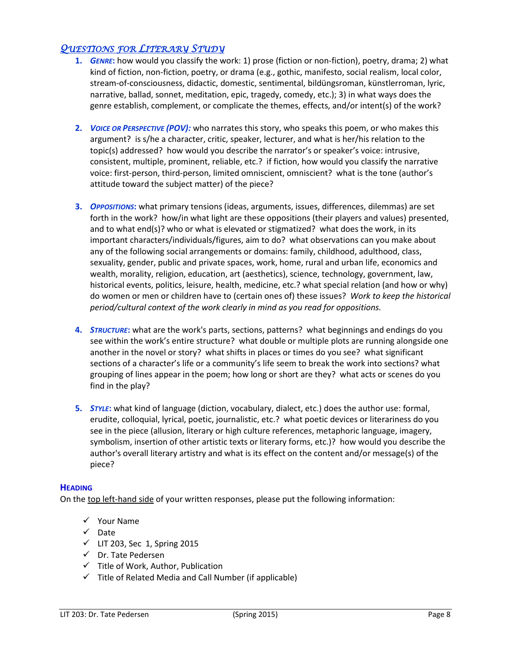#### *QUESTIONS FOR LITERARY STUDY*

- **1.** *GENRE***:** how would you classify the work: 1) prose (fiction or non-fiction), poetry, drama; 2) what kind of fiction, non-fiction, poetry, or drama (e.g., gothic, manifesto, social realism, local color, stream-of-consciousness, didactic, domestic, sentimental, bildüngsroman, künstlerroman, lyric, narrative, ballad, sonnet, meditation, epic, tragedy, comedy, etc.); 3) in what ways does the genre establish, complement, or complicate the themes, effects, and/or intent(s) of the work?
- **2.** *VOICE OR PERSPECTIVE (POV):* who narrates this story, who speaks this poem, or who makes this argument? is s/he a character, critic, speaker, lecturer, and what is her/his relation to the topic(s) addressed? how would you describe the narrator's or speaker's voice: intrusive, consistent, multiple, prominent, reliable, etc.? if fiction, how would you classify the narrative voice: first-person, third-person, limited omniscient, omniscient? what is the tone (author's attitude toward the subject matter) of the piece?
- **3.** *OPPOSITIONS***:** what primary tensions (ideas, arguments, issues, differences, dilemmas) are set forth in the work? how/in what light are these oppositions (their players and values) presented, and to what end(s)? who or what is elevated or stigmatized? what does the work, in its important characters/individuals/figures, aim to do? what observations can you make about any of the following social arrangements or domains: family, childhood, adulthood, class, sexuality, gender, public and private spaces, work, home, rural and urban life, economics and wealth, morality, religion, education, art (aesthetics), science, technology, government, law, historical events, politics, leisure, health, medicine, etc.? what special relation (and how or why) do women or men or children have to (certain ones of) these issues? *Work to keep the historical period/cultural context of the work clearly in mind as you read for oppositions.*
- **4.** *STRUCTURE***:** what are the work's parts, sections, patterns? what beginnings and endings do you see within the work's entire structure? what double or multiple plots are running alongside one another in the novel or story? what shifts in places or times do you see? what significant sections of a character's life or a community's life seem to break the work into sections? what grouping of lines appear in the poem; how long or short are they? what acts or scenes do you find in the play?
- **5.** *STYLE***:** what kind of language (diction, vocabulary, dialect, etc.) does the author use: formal, erudite, colloquial, lyrical, poetic, journalistic, etc.? what poetic devices or literariness do you see in the piece (allusion, literary or high culture references, metaphoric language, imagery, symbolism, insertion of other artistic texts or literary forms, etc.)? how would you describe the author's overall literary artistry and what is its effect on the content and/or message(s) of the piece?

#### **HEADING**

On the top left-hand side of your written responses, please put the following information:

- $\checkmark$  Your Name
- $\checkmark$  Date
- $\checkmark$  LIT 203, Sec 1, Spring 2015
- Dr. Tate Pedersen
- $\checkmark$  Title of Work, Author, Publication
- $\checkmark$  Title of Related Media and Call Number (if applicable)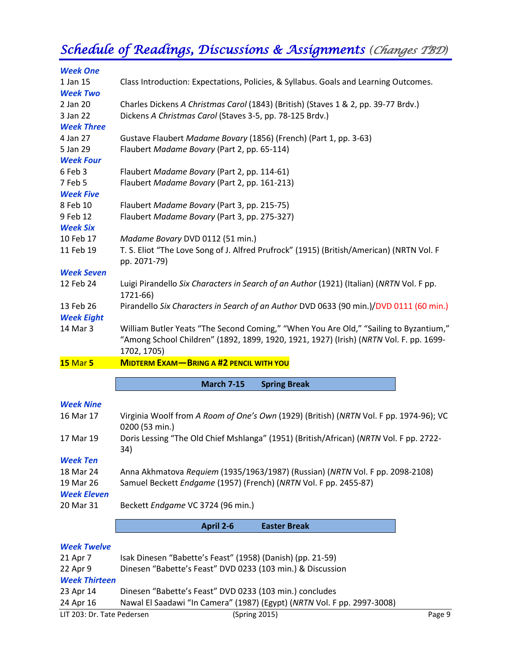# *Schedule of Readings, Discussions & Assignments (Changes TBD)*

| <b>Week One</b>        |                                                                                                                                                                                                |  |  |
|------------------------|------------------------------------------------------------------------------------------------------------------------------------------------------------------------------------------------|--|--|
| 1 Jan 15               | Class Introduction: Expectations, Policies, & Syllabus. Goals and Learning Outcomes.                                                                                                           |  |  |
| <b>Week Two</b>        |                                                                                                                                                                                                |  |  |
| 2 Jan 20               | Charles Dickens A Christmas Carol (1843) (British) (Staves 1 & 2, pp. 39-77 Brdv.)                                                                                                             |  |  |
| 3 Jan 22               | Dickens A Christmas Carol (Staves 3-5, pp. 78-125 Brdv.)                                                                                                                                       |  |  |
| <b>Week Three</b>      |                                                                                                                                                                                                |  |  |
| 4 Jan 27               | Gustave Flaubert Madame Bovary (1856) (French) (Part 1, pp. 3-63)                                                                                                                              |  |  |
| 5 Jan 29               | Flaubert Madame Bovary (Part 2, pp. 65-114)                                                                                                                                                    |  |  |
| <b>Week Four</b>       |                                                                                                                                                                                                |  |  |
| 6 Feb 3                | Flaubert Madame Bovary (Part 2, pp. 114-61)                                                                                                                                                    |  |  |
| 7 Feb 5                | Flaubert Madame Bovary (Part 2, pp. 161-213)                                                                                                                                                   |  |  |
| <b>Week Five</b>       |                                                                                                                                                                                                |  |  |
| 8 Feb 10               | Flaubert Madame Bovary (Part 3, pp. 215-75)                                                                                                                                                    |  |  |
| 9 Feb 12               | Flaubert Madame Bovary (Part 3, pp. 275-327)                                                                                                                                                   |  |  |
| <b>Week Six</b>        |                                                                                                                                                                                                |  |  |
| 10 Feb 17<br>11 Feb 19 | Madame Bovary DVD 0112 (51 min.)                                                                                                                                                               |  |  |
|                        | T. S. Eliot "The Love Song of J. Alfred Prufrock" (1915) (British/American) (NRTN Vol. F<br>pp. 2071-79)                                                                                       |  |  |
| <b>Week Seven</b>      |                                                                                                                                                                                                |  |  |
| 12 Feb 24              | Luigi Pirandello Six Characters in Search of an Author (1921) (Italian) (NRTN Vol. F pp.<br>1721-66)                                                                                           |  |  |
| 13 Feb 26              | Pirandello Six Characters in Search of an Author DVD 0633 (90 min.)/DVD 0111 (60 min.)                                                                                                         |  |  |
| <b>Week Eight</b>      |                                                                                                                                                                                                |  |  |
| 14 Mar 3               | William Butler Yeats "The Second Coming," "When You Are Old," "Sailing to Byzantium,"<br>"Among School Children" (1892, 1899, 1920, 1921, 1927) (Irish) (NRTN Vol. F. pp. 1699-<br>1702, 1705) |  |  |
| <b>15 Mar 5</b>        | <b>MIDTERM EXAM-BRING A #2 PENCIL WITH YOU</b>                                                                                                                                                 |  |  |
|                        | <b>March 7-15</b><br><b>Spring Break</b>                                                                                                                                                       |  |  |
| <b>Week Nine</b>       |                                                                                                                                                                                                |  |  |
| 16 Mar 17              | Virginia Woolf from A Room of One's Own (1929) (British) (NRTN Vol. F pp. 1974-96); VC                                                                                                         |  |  |
|                        | 0200 (53 min.)                                                                                                                                                                                 |  |  |
| 17 Mar 19              | Doris Lessing "The Old Chief Mshlanga" (1951) (British/African) (NRTN Vol. F pp. 2722-                                                                                                         |  |  |
|                        | 34)                                                                                                                                                                                            |  |  |
| <b>Week Ten</b>        |                                                                                                                                                                                                |  |  |
| 18 Mar 24              | Anna Akhmatova Requiem (1935/1963/1987) (Russian) (NRTN Vol. F pp. 2098-2108)                                                                                                                  |  |  |
| 19 Mar 26              | Samuel Beckett Endgame (1957) (French) (NRTN Vol. F pp. 2455-87)                                                                                                                               |  |  |
| <b>Week Eleven</b>     |                                                                                                                                                                                                |  |  |
| 20 Mar 31              | Beckett Endgame VC 3724 (96 min.)                                                                                                                                                              |  |  |
|                        | April 2-6<br><b>Easter Break</b>                                                                                                                                                               |  |  |
| <b>Week Twelve</b>     |                                                                                                                                                                                                |  |  |
| 21 Apr 7               | Isak Dinesen "Babette's Feast" (1958) (Danish) (pp. 21-59)                                                                                                                                     |  |  |
| 22 Apr 9               | Dinesen "Babette's Feast" DVD 0233 (103 min.) & Discussion                                                                                                                                     |  |  |
| <b>Week Thirteen</b>   |                                                                                                                                                                                                |  |  |
|                        |                                                                                                                                                                                                |  |  |

23 Apr 14 Dinesen "Babette's Feast" DVD 0233 (103 min.) concludes

24 Apr 16 Nawal El Saadawi "In Camera" (1987) (Egypt) (*NRTN* Vol. F pp. 2997-3008)